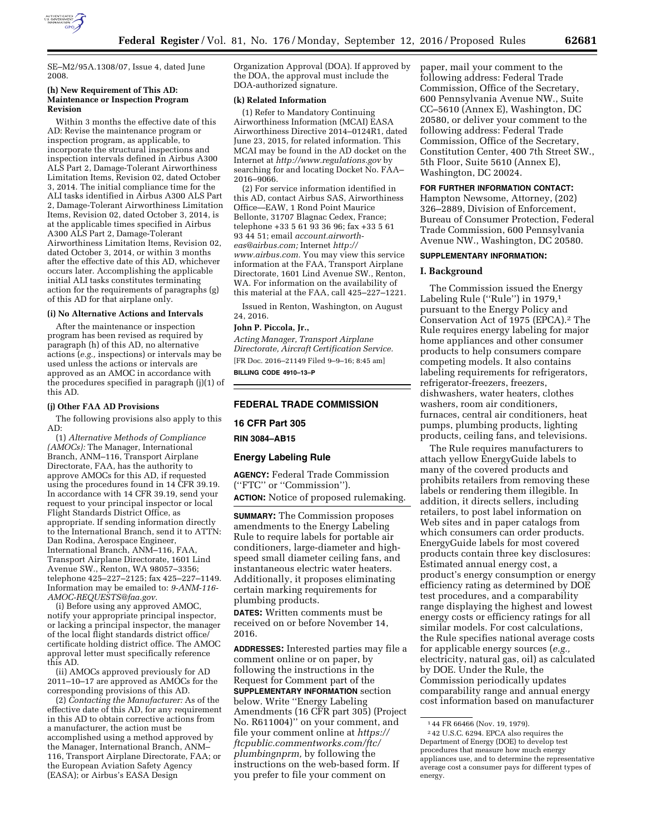

SE–M2/95A.1308/07, Issue 4, dated June 2008.

### **(h) New Requirement of This AD: Maintenance or Inspection Program Revision**

Within 3 months the effective date of this AD: Revise the maintenance program or inspection program, as applicable, to incorporate the structural inspections and inspection intervals defined in Airbus A300 ALS Part 2, Damage-Tolerant Airworthiness Limitation Items, Revision 02, dated October 3, 2014. The initial compliance time for the ALI tasks identified in Airbus A300 ALS Part 2, Damage-Tolerant Airworthiness Limitation Items, Revision 02, dated October 3, 2014, is at the applicable times specified in Airbus A300 ALS Part 2, Damage-Tolerant Airworthiness Limitation Items, Revision 02, dated October 3, 2014, or within 3 months after the effective date of this AD, whichever occurs later. Accomplishing the applicable initial ALI tasks constitutes terminating action for the requirements of paragraphs (g) of this AD for that airplane only.

#### **(i) No Alternative Actions and Intervals**

After the maintenance or inspection program has been revised as required by paragraph (h) of this AD, no alternative actions (*e.g.,* inspections) or intervals may be used unless the actions or intervals are approved as an AMOC in accordance with the procedures specified in paragraph (j)(1) of this AD.

## **(j) Other FAA AD Provisions**

The following provisions also apply to this AD:

(1) *Alternative Methods of Compliance (AMOCs):* The Manager, International Branch, ANM–116, Transport Airplane Directorate, FAA, has the authority to approve AMOCs for this AD, if requested using the procedures found in 14 CFR 39.19. In accordance with 14 CFR 39.19, send your request to your principal inspector or local Flight Standards District Office, as appropriate. If sending information directly to the International Branch, send it to ATTN: Dan Rodina, Aerospace Engineer, International Branch, ANM–116, FAA, Transport Airplane Directorate, 1601 Lind Avenue SW., Renton, WA 98057–3356; telephone 425–227–2125; fax 425–227–1149. Information may be emailed to: *[9-ANM-116-](mailto:9-ANM-116-AMOC-REQUESTS@faa.gov) [AMOC-REQUESTS@faa.gov.](mailto:9-ANM-116-AMOC-REQUESTS@faa.gov)* 

(i) Before using any approved AMOC, notify your appropriate principal inspector, or lacking a principal inspector, the manager of the local flight standards district office/ certificate holding district office. The AMOC approval letter must specifically reference this AD.

(ii) AMOCs approved previously for AD 2011–10–17 are approved as AMOCs for the corresponding provisions of this AD.

(2) *Contacting the Manufacturer:* As of the effective date of this AD, for any requirement in this AD to obtain corrective actions from a manufacturer, the action must be accomplished using a method approved by the Manager, International Branch, ANM– 116, Transport Airplane Directorate, FAA; or the European Aviation Safety Agency (EASA); or Airbus's EASA Design

Organization Approval (DOA). If approved by the DOA, the approval must include the DOA-authorized signature.

### **(k) Related Information**

(1) Refer to Mandatory Continuing Airworthiness Information (MCAI) EASA Airworthiness Directive 2014–0124R1, dated June 23, 2015, for related information. This MCAI may be found in the AD docket on the Internet at *<http://www.regulations.gov>*by searching for and locating Docket No. FAA– 2016–9066.

(2) For service information identified in this AD, contact Airbus SAS, Airworthiness Office—EAW, 1 Rond Point Maurice Bellonte, 31707 Blagnac Cedex, France; telephone +33 5 61 93 36 96; fax +33 5 61 93 44 51; email *[account.airworth](mailto:account.airworth-eas@airbus.com)[eas@airbus.com;](mailto:account.airworth-eas@airbus.com)* Internet *[http://](http://www.airbus.com)  [www.airbus.com.](http://www.airbus.com)* You may view this service information at the FAA, Transport Airplane Directorate, 1601 Lind Avenue SW., Renton, WA. For information on the availability of this material at the FAA, call 425–227–1221.

Issued in Renton, Washington, on August 24, 2016.

# **John P. Piccola, Jr.,**

*Acting Manager, Transport Airplane Directorate, Aircraft Certification Service.*  [FR Doc. 2016–21149 Filed 9–9–16; 8:45 am] **BILLING CODE 4910–13–P** 

# **FEDERAL TRADE COMMISSION**

# **16 CFR Part 305**

# **RIN 3084–AB15**

### **Energy Labeling Rule**

**AGENCY:** Federal Trade Commission (''FTC'' or ''Commission'').

**ACTION:** Notice of proposed rulemaking.

**SUMMARY:** The Commission proposes amendments to the Energy Labeling Rule to require labels for portable air conditioners, large-diameter and highspeed small diameter ceiling fans, and instantaneous electric water heaters. Additionally, it proposes eliminating certain marking requirements for plumbing products.

**DATES:** Written comments must be received on or before November 14, 2016.

**ADDRESSES:** Interested parties may file a comment online or on paper, by following the instructions in the Request for Comment part of the **SUPPLEMENTARY INFORMATION** section below. Write ''Energy Labeling Amendments (16 CFR part 305) (Project No. R611004)'' on your comment, and file your comment online at *[https://](https://ftcpublic.commentworks.com/ftc/plumbingnprm) [ftcpublic.commentworks.com/ftc/](https://ftcpublic.commentworks.com/ftc/plumbingnprm)  [plumbingnprm,](https://ftcpublic.commentworks.com/ftc/plumbingnprm)* by following the instructions on the web-based form. If you prefer to file your comment on

paper, mail your comment to the following address: Federal Trade Commission, Office of the Secretary, 600 Pennsylvania Avenue NW., Suite CC–5610 (Annex E), Washington, DC 20580, or deliver your comment to the following address: Federal Trade Commission, Office of the Secretary, Constitution Center, 400 7th Street SW., 5th Floor, Suite 5610 (Annex E), Washington, DC 20024.

#### **FOR FURTHER INFORMATION CONTACT:**

Hampton Newsome, Attorney, (202) 326–2889, Division of Enforcement, Bureau of Consumer Protection, Federal Trade Commission, 600 Pennsylvania Avenue NW., Washington, DC 20580.

### **SUPPLEMENTARY INFORMATION:**

#### **I. Background**

The Commission issued the Energy Labeling Rule (''Rule'') in 1979,1 pursuant to the Energy Policy and Conservation Act of 1975 (EPCA).2 The Rule requires energy labeling for major home appliances and other consumer products to help consumers compare competing models. It also contains labeling requirements for refrigerators, refrigerator-freezers, freezers, dishwashers, water heaters, clothes washers, room air conditioners, furnaces, central air conditioners, heat pumps, plumbing products, lighting products, ceiling fans, and televisions.

The Rule requires manufacturers to attach yellow EnergyGuide labels to many of the covered products and prohibits retailers from removing these labels or rendering them illegible. In addition, it directs sellers, including retailers, to post label information on Web sites and in paper catalogs from which consumers can order products. EnergyGuide labels for most covered products contain three key disclosures: Estimated annual energy cost, a product's energy consumption or energy efficiency rating as determined by DOE test procedures, and a comparability range displaying the highest and lowest energy costs or efficiency ratings for all similar models. For cost calculations, the Rule specifies national average costs for applicable energy sources (*e.g.,*  electricity, natural gas, oil) as calculated by DOE. Under the Rule, the Commission periodically updates comparability range and annual energy cost information based on manufacturer

<sup>1</sup> 44 FR 66466 (Nov. 19, 1979).

<sup>2</sup> 42 U.S.C. 6294. EPCA also requires the Department of Energy (DOE) to develop test procedures that measure how much energy appliances use, and to determine the representative average cost a consumer pays for different types of energy.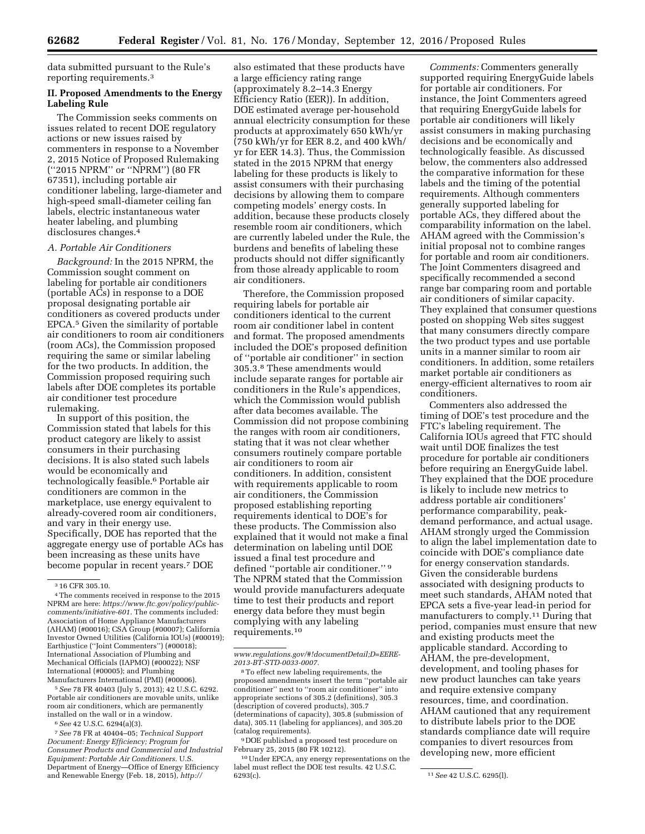data submitted pursuant to the Rule's reporting requirements.3

# **II. Proposed Amendments to the Energy Labeling Rule**

The Commission seeks comments on issues related to recent DOE regulatory actions or new issues raised by commenters in response to a November 2, 2015 Notice of Proposed Rulemaking (''2015 NPRM'' or ''NPRM'') (80 FR 67351), including portable air conditioner labeling, large-diameter and high-speed small-diameter ceiling fan labels, electric instantaneous water heater labeling, and plumbing disclosures changes.4

### *A. Portable Air Conditioners*

*Background:* In the 2015 NPRM, the Commission sought comment on labeling for portable air conditioners (portable ACs) in response to a DOE proposal designating portable air conditioners as covered products under EPCA.5 Given the similarity of portable air conditioners to room air conditioners (room ACs), the Commission proposed requiring the same or similar labeling for the two products. In addition, the Commission proposed requiring such labels after DOE completes its portable air conditioner test procedure rulemaking.

In support of this position, the Commission stated that labels for this product category are likely to assist consumers in their purchasing decisions. It is also stated such labels would be economically and technologically feasible.6 Portable air conditioners are common in the marketplace, use energy equivalent to already-covered room air conditioners, and vary in their energy use. Specifically, DOE has reported that the aggregate energy use of portable ACs has been increasing as these units have become popular in recent years.7 DOE

5*See* 78 FR 40403 (July 5, 2013); 42 U.S.C. 6292. Portable air conditioners are movable units, unlike room air conditioners, which are permanently installed on the wall or in a window.

7*See* 78 FR at 40404–05; *Technical Support Document: Energy Efficiency; Program for Consumer Products and Commercial and Industrial Equipment: Portable Air Conditioners.* U.S. Department of Energy—Office of Energy Efficiency and Renewable Energy (Feb. 18, 2015), *[http://](http://www.regulations.gov/#!documentDetail;D=EERE-2013-BT-STD-0033-0007)*

also estimated that these products have a large efficiency rating range (approximately 8.2–14.3 Energy Efficiency Ratio (EER)). In addition, DOE estimated average per-household annual electricity consumption for these products at approximately 650 kWh/yr (750 kWh/yr for EER 8.2, and 400 kWh/ yr for EER 14.3). Thus, the Commission stated in the 2015 NPRM that energy labeling for these products is likely to assist consumers with their purchasing decisions by allowing them to compare competing models' energy costs. In addition, because these products closely resemble room air conditioners, which are currently labeled under the Rule, the burdens and benefits of labeling these products should not differ significantly from those already applicable to room air conditioners.

Therefore, the Commission proposed requiring labels for portable air conditioners identical to the current room air conditioner label in content and format. The proposed amendments included the DOE's proposed definition of ''portable air conditioner'' in section 305.3.8 These amendments would include separate ranges for portable air conditioners in the Rule's appendices, which the Commission would publish after data becomes available. The Commission did not propose combining the ranges with room air conditioners, stating that it was not clear whether consumers routinely compare portable air conditioners to room air conditioners. In addition, consistent with requirements applicable to room air conditioners, the Commission proposed establishing reporting requirements identical to DOE's for these products. The Commission also explained that it would not make a final determination on labeling until DOE issued a final test procedure and defined ''portable air conditioner.'' 9 The NPRM stated that the Commission would provide manufacturers adequate time to test their products and report energy data before they must begin complying with any labeling requirements.10

9 DOE published a proposed test procedure on February 25, 2015 (80 FR 10212).

10Under EPCA, any energy representations on the label must reflect the DOE test results. 42 U.S.C.

*Comments:* Commenters generally supported requiring EnergyGuide labels for portable air conditioners. For instance, the Joint Commenters agreed that requiring EnergyGuide labels for portable air conditioners will likely assist consumers in making purchasing decisions and be economically and technologically feasible. As discussed below, the commenters also addressed the comparative information for these labels and the timing of the potential requirements. Although commenters generally supported labeling for portable ACs, they differed about the comparability information on the label. AHAM agreed with the Commission's initial proposal not to combine ranges for portable and room air conditioners. The Joint Commenters disagreed and specifically recommended a second range bar comparing room and portable air conditioners of similar capacity. They explained that consumer questions posted on shopping Web sites suggest that many consumers directly compare the two product types and use portable units in a manner similar to room air conditioners. In addition, some retailers market portable air conditioners as energy-efficient alternatives to room air conditioners.

Commenters also addressed the timing of DOE's test procedure and the FTC's labeling requirement. The California IOUs agreed that FTC should wait until DOE finalizes the test procedure for portable air conditioners before requiring an EnergyGuide label. They explained that the DOE procedure is likely to include new metrics to address portable air conditioners' performance comparability, peakdemand performance, and actual usage. AHAM strongly urged the Commission to align the label implementation date to coincide with DOE's compliance date for energy conservation standards. Given the considerable burdens associated with designing products to meet such standards, AHAM noted that EPCA sets a five-year lead-in period for manufacturers to comply.11 During that period, companies must ensure that new and existing products meet the applicable standard. According to AHAM, the pre-development, development, and tooling phases for new product launches can take years and require extensive company resources, time, and coordination. AHAM cautioned that any requirement to distribute labels prior to the DOE standards compliance date will require companies to divert resources from developing new, more efficient

<sup>3</sup> 16 CFR 305.10.

<sup>4</sup>The comments received in response to the 2015 NPRM are here: *[https://www.ftc.gov/policy/public](https://www.ftc.gov/policy/public-comments/initiative-601)[comments/initiative-601](https://www.ftc.gov/policy/public-comments/initiative-601)*. The comments included: Association of Home Appliance Manufacturers (AHAM) (#00016); CSA Group (#00007); California Investor Owned Utilities (California IOUs) (#00019); Earthjustice (''Joint Commenters'') (#00018); International Association of Plumbing and Mechanical Officials (IAPMO) (#00022); NSF International (#00005); and Plumbing Manufacturers International (PMI) (#00006).

<sup>6</sup>*See* 42 U.S.C. 6294(a)(3).

*[www.regulations.gov/#!documentDetail;D=EERE-](http://www.regulations.gov/#!documentDetail;D=EERE-2013-BT-STD-0033-0007)[2013-BT-STD-0033-0007.](http://www.regulations.gov/#!documentDetail;D=EERE-2013-BT-STD-0033-0007)* 

<sup>8</sup>To effect new labeling requirements, the proposed amendments insert the term ''portable air conditioner'' next to ''room air conditioner'' into appropriate sections of 305.2 (definitions), 305.3 (description of covered products), 305.7 (determinations of capacity), 305.8 (submission of data), 305.11 (labeling for appliances), and 305.20 (catalog requirements).

<sup>&</sup>lt;sup>11</sup> See 42 U.S.C. 6295(l).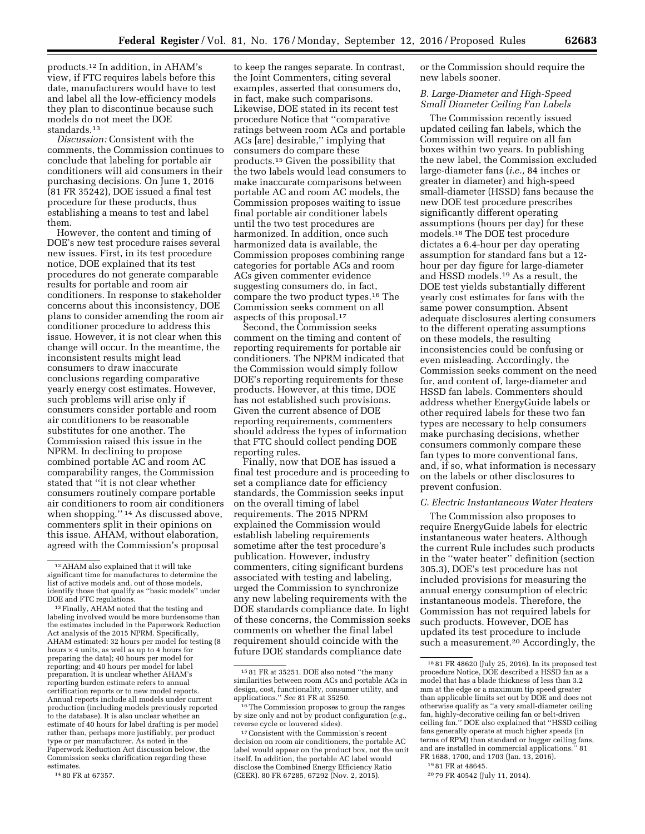products.12 In addition, in AHAM's view, if FTC requires labels before this date, manufacturers would have to test and label all the low-efficiency models they plan to discontinue because such models do not meet the DOE standards.13

*Discussion:* Consistent with the comments, the Commission continues to conclude that labeling for portable air conditioners will aid consumers in their purchasing decisions. On June 1, 2016 (81 FR 35242), DOE issued a final test procedure for these products, thus establishing a means to test and label them.

However, the content and timing of DOE's new test procedure raises several new issues. First, in its test procedure notice, DOE explained that its test procedures do not generate comparable results for portable and room air conditioners. In response to stakeholder concerns about this inconsistency, DOE plans to consider amending the room air conditioner procedure to address this issue. However, it is not clear when this change will occur. In the meantime, the inconsistent results might lead consumers to draw inaccurate conclusions regarding comparative yearly energy cost estimates. However, such problems will arise only if consumers consider portable and room air conditioners to be reasonable substitutes for one another. The Commission raised this issue in the NPRM. In declining to propose combined portable AC and room AC comparability ranges, the Commission stated that ''it is not clear whether consumers routinely compare portable air conditioners to room air conditioners when shopping.'' 14 As discussed above, commenters split in their opinions on this issue. AHAM, without elaboration, agreed with the Commission's proposal

to keep the ranges separate. In contrast, the Joint Commenters, citing several examples, asserted that consumers do, in fact, make such comparisons. Likewise, DOE stated in its recent test procedure Notice that ''comparative ratings between room ACs and portable ACs [are] desirable,'' implying that consumers do compare these products.15 Given the possibility that the two labels would lead consumers to make inaccurate comparisons between portable AC and room AC models, the Commission proposes waiting to issue final portable air conditioner labels until the two test procedures are harmonized. In addition, once such harmonized data is available, the Commission proposes combining range categories for portable ACs and room ACs given commenter evidence suggesting consumers do, in fact, compare the two product types.16 The Commission seeks comment on all aspects of this proposal.17

Second, the Commission seeks comment on the timing and content of reporting requirements for portable air conditioners. The NPRM indicated that the Commission would simply follow DOE's reporting requirements for these products. However, at this time, DOE has not established such provisions. Given the current absence of DOE reporting requirements, commenters should address the types of information that FTC should collect pending DOE reporting rules.

Finally, now that DOE has issued a final test procedure and is proceeding to set a compliance date for efficiency standards, the Commission seeks input on the overall timing of label requirements. The 2015 NPRM explained the Commission would establish labeling requirements sometime after the test procedure's publication. However, industry commenters, citing significant burdens associated with testing and labeling, urged the Commission to synchronize any new labeling requirements with the DOE standards compliance date. In light of these concerns, the Commission seeks comments on whether the final label requirement should coincide with the future DOE standards compliance date

or the Commission should require the new labels sooner.

# *B. Large-Diameter and High-Speed Small Diameter Ceiling Fan Labels*

The Commission recently issued updated ceiling fan labels, which the Commission will require on all fan boxes within two years. In publishing the new label, the Commission excluded large-diameter fans (*i.e.,* 84 inches or greater in diameter) and high-speed small-diameter (HSSD) fans because the new DOE test procedure prescribes significantly different operating assumptions (hours per day) for these models.18 The DOE test procedure dictates a 6.4-hour per day operating assumption for standard fans but a 12 hour per day figure for large-diameter and HSSD models.19 As a result, the DOE test yields substantially different yearly cost estimates for fans with the same power consumption. Absent adequate disclosures alerting consumers to the different operating assumptions on these models, the resulting inconsistencies could be confusing or even misleading. Accordingly, the Commission seeks comment on the need for, and content of, large-diameter and HSSD fan labels. Commenters should address whether EnergyGuide labels or other required labels for these two fan types are necessary to help consumers make purchasing decisions, whether consumers commonly compare these fan types to more conventional fans, and, if so, what information is necessary on the labels or other disclosures to prevent confusion.

### *C. Electric Instantaneous Water Heaters*

The Commission also proposes to require EnergyGuide labels for electric instantaneous water heaters. Although the current Rule includes such products in the ''water heater'' definition (section 305.3), DOE's test procedure has not included provisions for measuring the annual energy consumption of electric instantaneous models. Therefore, the Commission has not required labels for such products. However, DOE has updated its test procedure to include such a measurement.20 Accordingly, the

<sup>12</sup>AHAM also explained that it will take significant time for manufactures to determine the list of active models and, out of those models, identify those that qualify as "basic models" under<br>DOE and FTC regulations.

<sup>&</sup>lt;sup>13</sup> Finally, AHAM noted that the testing and labeling involved would be more burdensome than the estimates included in the Paperwork Reduction Act analysis of the 2015 NPRM. Specifically, AHAM estimated: 32 hours per model for testing (8 hours  $\times$  4 units, as well as up to 4 hours for preparing the data); 40 hours per model for reporting; and 40 hours per model for label preparation. It is unclear whether AHAM's reporting burden estimate refers to annual certification reports or to new model reports. Annual reports include all models under current production (including models previously reported to the database). It is also unclear whether an estimate of 40 hours for label drafting is per model rather than, perhaps more justifiably, per product type or per manufacturer. As noted in the Paperwork Reduction Act discussion below, the Commission seeks clarification regarding these estimates.

<sup>14</sup> 80 FR at 67357.

<sup>15</sup> 81 FR at 35251. DOE also noted ''the many similarities between room ACs and portable ACs in design, cost, functionality, consumer utility, and applications.'' *See* 81 FR at 35250.

 $^{\rm 16}\rm{The}$  Commission proposes to group the ranges by size only and not by product configuration (*e.g.,*  reverse cycle or louvered sides).

<sup>17</sup>Consistent with the Commission's recent decision on room air conditioners, the portable AC label would appear on the product box, not the unit itself. In addition, the portable AC label would disclose the Combined Energy Efficiency Ratio (CEER). 80 FR 67285, 67292 (Nov. 2, 2015).

<sup>18</sup> 81 FR 48620 (July 25, 2016). In its proposed test procedure Notice, DOE described a HSSD fan as a model that has a blade thickness of less than 3.2 mm at the edge or a maximum tip speed greater than applicable limits set out by DOE and does not otherwise qualify as ''a very small-diameter ceiling fan, highly-decorative ceiling fan or belt-driven ceiling fan.'' DOE also explained that ''HSSD ceiling fans generally operate at much higher speeds (in terms of RPM) than standard or hugger ceiling fans, and are installed in commercial applications.'' 81 FR 1688, 1700, and 1703 (Jan. 13, 2016).

<sup>19</sup> 81 FR at 48645.

<sup>20</sup> 79 FR 40542 (July 11, 2014).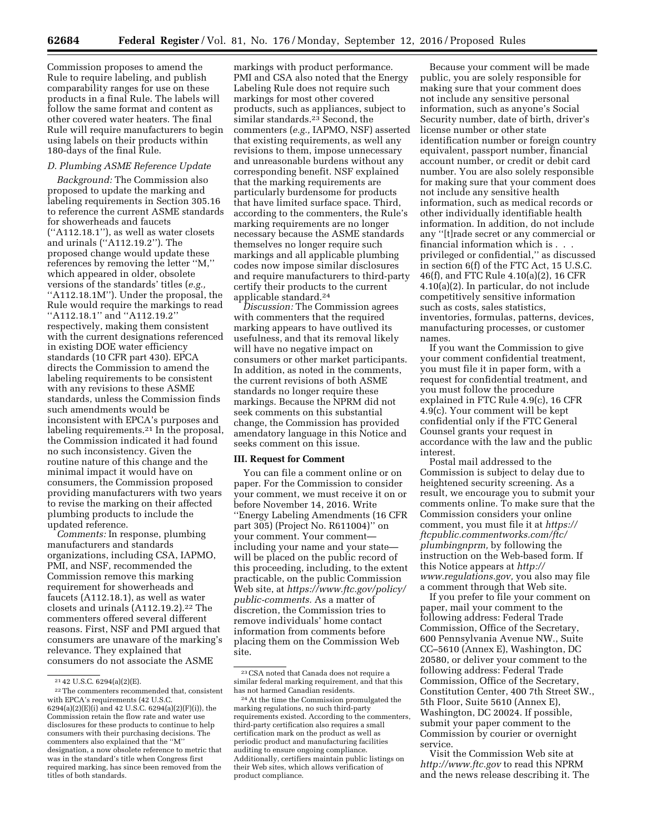Commission proposes to amend the Rule to require labeling, and publish comparability ranges for use on these products in a final Rule. The labels will follow the same format and content as other covered water heaters. The final Rule will require manufacturers to begin using labels on their products within 180-days of the final Rule.

# *D. Plumbing ASME Reference Update*

*Background:* The Commission also proposed to update the marking and labeling requirements in Section 305.16 to reference the current ASME standards for showerheads and faucets (''A112.18.1''), as well as water closets and urinals (''A112.19.2''). The proposed change would update these references by removing the letter ''M,'' which appeared in older, obsolete versions of the standards' titles (*e.g.,*  "A112.18.1M"). Under the proposal, the Rule would require the markings to read ''A112.18.1'' and ''A112.19.2'' respectively, making them consistent with the current designations referenced in existing DOE water efficiency standards (10 CFR part 430). EPCA directs the Commission to amend the labeling requirements to be consistent with any revisions to these ASME standards, unless the Commission finds such amendments would be inconsistent with EPCA's purposes and labeling requirements.21 In the proposal, the Commission indicated it had found no such inconsistency. Given the routine nature of this change and the minimal impact it would have on consumers, the Commission proposed providing manufacturers with two years to revise the marking on their affected plumbing products to include the updated reference.

*Comments:* In response, plumbing manufacturers and standards organizations, including CSA, IAPMO, PMI, and NSF, recommended the Commission remove this marking requirement for showerheads and faucets (A112.18.1), as well as water closets and urinals (A112.19.2).<sup>22</sup> The commenters offered several different reasons. First, NSF and PMI argued that consumers are unaware of the marking's relevance. They explained that consumers do not associate the ASME

markings with product performance. PMI and CSA also noted that the Energy Labeling Rule does not require such markings for most other covered products, such as appliances, subject to similar standards.<sup>23</sup> Second, the commenters (*e.g.,* IAPMO, NSF) asserted that existing requirements, as well any revisions to them, impose unnecessary and unreasonable burdens without any corresponding benefit. NSF explained that the marking requirements are particularly burdensome for products that have limited surface space. Third, according to the commenters, the Rule's marking requirements are no longer necessary because the ASME standards themselves no longer require such markings and all applicable plumbing codes now impose similar disclosures and require manufacturers to third-party certify their products to the current applicable standard.24

*Discussion:* The Commission agrees with commenters that the required marking appears to have outlived its usefulness, and that its removal likely will have no negative impact on consumers or other market participants. In addition, as noted in the comments, the current revisions of both ASME standards no longer require these markings. Because the NPRM did not seek comments on this substantial change, the Commission has provided amendatory language in this Notice and seeks comment on this issue.

### **III. Request for Comment**

You can file a comment online or on paper. For the Commission to consider your comment, we must receive it on or before November 14, 2016. Write ''Energy Labeling Amendments (16 CFR part 305) (Project No. R611004)'' on your comment. Your comment including your name and your state will be placed on the public record of this proceeding, including, to the extent practicable, on the public Commission Web site, at *[https://www.ftc.gov/policy/](https://www.ftc.gov/policy/public-comments) [public-comments.](https://www.ftc.gov/policy/public-comments)* As a matter of discretion, the Commission tries to remove individuals' home contact information from comments before placing them on the Commission Web site.

Because your comment will be made public, you are solely responsible for making sure that your comment does not include any sensitive personal information, such as anyone's Social Security number, date of birth, driver's license number or other state identification number or foreign country equivalent, passport number, financial account number, or credit or debit card number. You are also solely responsible for making sure that your comment does not include any sensitive health information, such as medical records or other individually identifiable health information. In addition, do not include any ''[t]rade secret or any commercial or financial information which is . . . privileged or confidential,'' as discussed in section 6(f) of the FTC Act, 15 U.S.C. 46(f), and FTC Rule 4.10(a)(2), 16 CFR 4.10(a)(2). In particular, do not include competitively sensitive information such as costs, sales statistics, inventories, formulas, patterns, devices, manufacturing processes, or customer names.

If you want the Commission to give your comment confidential treatment, you must file it in paper form, with a request for confidential treatment, and you must follow the procedure explained in FTC Rule 4.9(c), 16 CFR 4.9(c). Your comment will be kept confidential only if the FTC General Counsel grants your request in accordance with the law and the public interest.

Postal mail addressed to the Commission is subject to delay due to heightened security screening. As a result, we encourage you to submit your comments online. To make sure that the Commission considers your online comment, you must file it at *[https://](https://ftcpublic.commentworks.com/ftc/plumbingnprm) [ftcpublic.commentworks.com/ftc/](https://ftcpublic.commentworks.com/ftc/plumbingnprm)  [plumbingnprm,](https://ftcpublic.commentworks.com/ftc/plumbingnprm)* by following the instruction on the Web-based form. If this Notice appears at *[http://](http://www.regulations.gov) [www.regulations.gov,](http://www.regulations.gov)* you also may file a comment through that Web site.

If you prefer to file your comment on paper, mail your comment to the following address: Federal Trade Commission, Office of the Secretary, 600 Pennsylvania Avenue NW., Suite CC–5610 (Annex E), Washington, DC 20580, or deliver your comment to the following address: Federal Trade Commission, Office of the Secretary, Constitution Center, 400 7th Street SW., 5th Floor, Suite 5610 (Annex E), Washington, DC 20024. If possible, submit your paper comment to the Commission by courier or overnight service.

Visit the Commission Web site at *<http://www.ftc.gov>*to read this NPRM and the news release describing it. The

 $21$  42 U.S.C. 6294(a)(2)(E).

<sup>22</sup>The commenters recommended that, consistent with EPCA's requirements (42 U.S.C. 6294(a)(2)(E)(i) and 42 U.S.C. 6294(a)(2)(F)(i)), the Commission retain the flow rate and water use disclosures for these products to continue to help consumers with their purchasing decisions. The commenters also explained that the ''M'' designation, a now obsolete reference to metric that was in the standard's title when Congress first required marking, has since been removed from the titles of both standards.

<sup>23</sup>CSA noted that Canada does not require a similar federal marking requirement, and that this has not harmed Canadian residents.

<sup>24</sup>At the time the Commission promulgated the marking regulations, no such third-party requirements existed. According to the commenters, third-party certification also requires a small certification mark on the product as well as periodic product and manufacturing facilities auditing to ensure ongoing compliance. Additionally, certifiers maintain public listings on their Web sites, which allows verification of product compliance.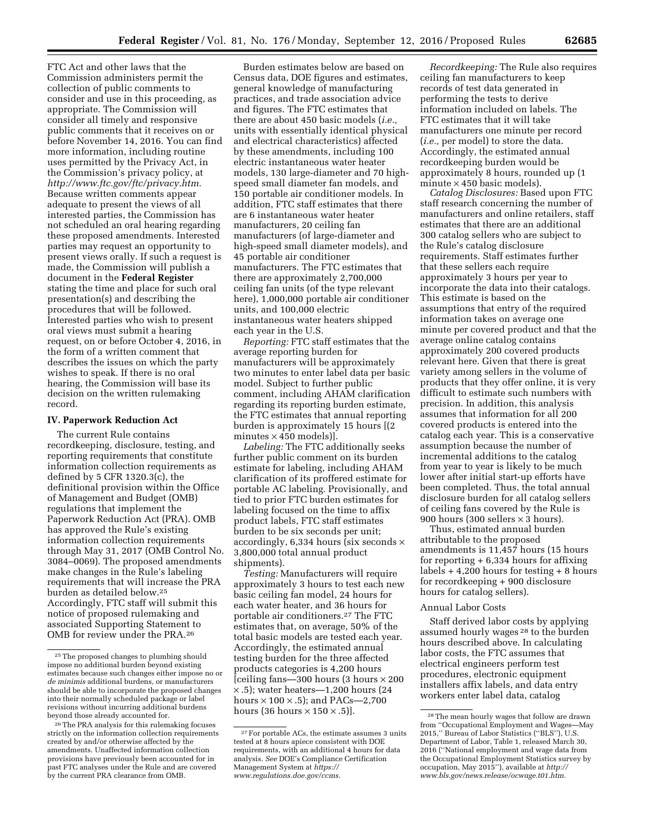FTC Act and other laws that the Commission administers permit the collection of public comments to consider and use in this proceeding, as appropriate. The Commission will consider all timely and responsive public comments that it receives on or before November 14, 2016. You can find more information, including routine uses permitted by the Privacy Act, in the Commission's privacy policy, at *[http://www.ftc.gov/ftc/privacy.htm.](http://www.ftc.gov/ftc/privacy.htm)*  Because written comments appear adequate to present the views of all interested parties, the Commission has not scheduled an oral hearing regarding these proposed amendments. Interested parties may request an opportunity to present views orally. If such a request is made, the Commission will publish a document in the **Federal Register**  stating the time and place for such oral presentation(s) and describing the procedures that will be followed. Interested parties who wish to present oral views must submit a hearing request, on or before October 4, 2016, in the form of a written comment that describes the issues on which the party wishes to speak. If there is no oral hearing, the Commission will base its decision on the written rulemaking record.

## **IV. Paperwork Reduction Act**

The current Rule contains recordkeeping, disclosure, testing, and reporting requirements that constitute information collection requirements as defined by 5 CFR 1320.3(c), the definitional provision within the Office of Management and Budget (OMB) regulations that implement the Paperwork Reduction Act (PRA). OMB has approved the Rule's existing information collection requirements through May 31, 2017 (OMB Control No. 3084–0069). The proposed amendments make changes in the Rule's labeling requirements that will increase the PRA burden as detailed below.25 Accordingly, FTC staff will submit this notice of proposed rulemaking and associated Supporting Statement to OMB for review under the PRA.26

Burden estimates below are based on Census data, DOE figures and estimates, general knowledge of manufacturing practices, and trade association advice and figures. The FTC estimates that there are about 450 basic models (*i.e.,*  units with essentially identical physical and electrical characteristics) affected by these amendments, including 100 electric instantaneous water heater models, 130 large-diameter and 70 highspeed small diameter fan models, and 150 portable air conditioner models. In addition, FTC staff estimates that there are 6 instantaneous water heater manufacturers, 20 ceiling fan manufacturers (of large-diameter and high-speed small diameter models), and 45 portable air conditioner manufacturers. The FTC estimates that there are approximately 2,700,000 ceiling fan units (of the type relevant here), 1,000,000 portable air conditioner units, and 100,000 electric instantaneous water heaters shipped each year in the U.S.

*Reporting:* FTC staff estimates that the average reporting burden for manufacturers will be approximately two minutes to enter label data per basic model. Subject to further public comment, including AHAM clarification regarding its reporting burden estimate, the FTC estimates that annual reporting burden is approximately 15 hours [(2 minutes  $\times$  450 models).

*Labeling:* The FTC additionally seeks further public comment on its burden estimate for labeling, including AHAM clarification of its proffered estimate for portable AC labeling. Provisionally, and tied to prior FTC burden estimates for labeling focused on the time to affix product labels, FTC staff estimates burden to be six seconds per unit; accordingly, 6,334 hours (six seconds  $\times$ 3,800,000 total annual product shipments).

*Testing:* Manufacturers will require approximately 3 hours to test each new basic ceiling fan model, 24 hours for each water heater, and 36 hours for portable air conditioners.27 The FTC estimates that, on average, 50% of the total basic models are tested each year. Accordingly, the estimated annual testing burden for the three affected products categories is 4,200 hours [ceiling fans—300 hours (3 hours × 200  $\times$ .5); water heaters—1,200 hours (24 hours  $\times$  100  $\times$  .5); and PACs—2,700 hours (36 hours  $\times$  150  $\times$  .5)].

*Recordkeeping:* The Rule also requires ceiling fan manufacturers to keep records of test data generated in performing the tests to derive information included on labels. The FTC estimates that it will take manufacturers one minute per record (*i.e.,* per model) to store the data. Accordingly, the estimated annual recordkeeping burden would be approximately 8 hours, rounded up (1 minute  $\times$  450 basic models).

*Catalog Disclosures:* Based upon FTC staff research concerning the number of manufacturers and online retailers, staff estimates that there are an additional 300 catalog sellers who are subject to the Rule's catalog disclosure requirements. Staff estimates further that these sellers each require approximately 3 hours per year to incorporate the data into their catalogs. This estimate is based on the assumptions that entry of the required information takes on average one minute per covered product and that the average online catalog contains approximately 200 covered products relevant here. Given that there is great variety among sellers in the volume of products that they offer online, it is very difficult to estimate such numbers with precision. In addition, this analysis assumes that information for all 200 covered products is entered into the catalog each year. This is a conservative assumption because the number of incremental additions to the catalog from year to year is likely to be much lower after initial start-up efforts have been completed. Thus, the total annual disclosure burden for all catalog sellers of ceiling fans covered by the Rule is 900 hours (300 sellers  $\times$  3 hours).

Thus, estimated annual burden attributable to the proposed amendments is 11,457 hours (15 hours for reporting + 6,334 hours for affixing labels  $+4,200$  hours for testing  $+8$  hours for recordkeeping + 900 disclosure hours for catalog sellers).

### Annual Labor Costs

Staff derived labor costs by applying assumed hourly wages 28 to the burden hours described above. In calculating labor costs, the FTC assumes that electrical engineers perform test procedures, electronic equipment installers affix labels, and data entry workers enter label data, catalog

<sup>25</sup>The proposed changes to plumbing should impose no additional burden beyond existing estimates because such changes either impose no or *de minimis* additional burdens, or manufacturers should be able to incorporate the proposed changes into their normally scheduled package or label revisions without incurring additional burdens beyond those already accounted for.

<sup>26</sup>The PRA analysis for this rulemaking focuses strictly on the information collection requirements created by and/or otherwise affected by the amendments. Unaffected information collection provisions have previously been accounted for in past FTC analyses under the Rule and are covered by the current PRA clearance from OMB.

<sup>27</sup>For portable ACs, the estimate assumes 3 units tested at 8 hours apiece consistent with DOE requirements, with an additional 4 hours for data analysis. *See* DOE's Compliance Certification Management System at *[https://](https://www.regulations.doe.gov/ccms) [www.regulations.doe.gov/ccms.](https://www.regulations.doe.gov/ccms)* 

<sup>28</sup>The mean hourly wages that follow are drawn from ''Occupational Employment and Wages—May 2015,'' Bureau of Labor Statistics (''BLS''), U.S. Department of Labor, Table 1, released March 30, 2016 (''National employment and wage data from the Occupational Employment Statistics survey by occupation, May 2015''), available at *[http://](http://www.bls.gov/news.release/ocwage.t01.htm) [www.bls.gov/news.release/ocwage.t01.htm.](http://www.bls.gov/news.release/ocwage.t01.htm)*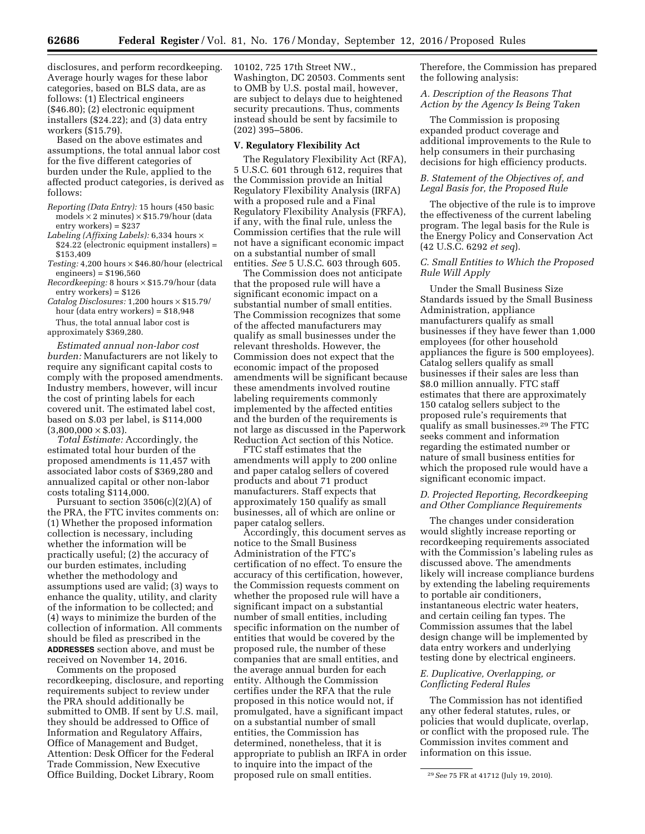disclosures, and perform recordkeeping. Average hourly wages for these labor categories, based on BLS data, are as follows: (1) Electrical engineers (\$46.80); (2) electronic equipment installers (\$24.22); and  $(3)$  data entry workers (\$15.79).

Based on the above estimates and assumptions, the total annual labor cost for the five different categories of burden under the Rule, applied to the affected product categories, is derived as follows:

- *Reporting (Data Entry):* 15 hours (450 basic models  $\times$  2 minutes)  $\times$  \$15.79/hour (data entry workers) = \$237
- *Labeling (Affixing Labels):* 6,334 hours × \$24.22 (electronic equipment installers) = \$153,409
- *Testing:* 4,200 hours × \$46.80/hour (electrical engineers) = \$196,560
- *Recordkeeping:* 8 hours × \$15.79/hour (data entry workers) = \$126
- *Catalog Disclosures:* 1,200 hours × \$15.79/ hour (data entry workers) = \$18,948 Thus, the total annual labor cost is

approximately \$369,280.

*Estimated annual non-labor cost burden:* Manufacturers are not likely to require any significant capital costs to comply with the proposed amendments. Industry members, however, will incur the cost of printing labels for each covered unit. The estimated label cost, based on \$.03 per label, is \$114,000  $(3,800,000 \times$ \$.03).

*Total Estimate:* Accordingly, the estimated total hour burden of the proposed amendments is 11,457 with associated labor costs of \$369,280 and annualized capital or other non-labor costs totaling \$114,000.

Pursuant to section  $3506(c)(2)(A)$  of the PRA, the FTC invites comments on: (1) Whether the proposed information collection is necessary, including whether the information will be practically useful; (2) the accuracy of our burden estimates, including whether the methodology and assumptions used are valid; (3) ways to enhance the quality, utility, and clarity of the information to be collected; and (4) ways to minimize the burden of the collection of information. All comments should be filed as prescribed in the **ADDRESSES** section above, and must be received on November 14, 2016.

Comments on the proposed recordkeeping, disclosure, and reporting requirements subject to review under the PRA should additionally be submitted to OMB. If sent by U.S. mail, they should be addressed to Office of Information and Regulatory Affairs, Office of Management and Budget, Attention: Desk Officer for the Federal Trade Commission, New Executive Office Building, Docket Library, Room

10102, 725 17th Street NW., Washington, DC 20503. Comments sent to OMB by U.S. postal mail, however, are subject to delays due to heightened security precautions. Thus, comments instead should be sent by facsimile to (202) 395–5806.

### **V. Regulatory Flexibility Act**

The Regulatory Flexibility Act (RFA), 5 U.S.C. 601 through 612, requires that the Commission provide an Initial Regulatory Flexibility Analysis (IRFA) with a proposed rule and a Final Regulatory Flexibility Analysis (FRFA), if any, with the final rule, unless the Commission certifies that the rule will not have a significant economic impact on a substantial number of small entities. *See* 5 U.S.C. 603 through 605.

The Commission does not anticipate that the proposed rule will have a significant economic impact on a substantial number of small entities. The Commission recognizes that some of the affected manufacturers may qualify as small businesses under the relevant thresholds. However, the Commission does not expect that the economic impact of the proposed amendments will be significant because these amendments involved routine labeling requirements commonly implemented by the affected entities and the burden of the requirements is not large as discussed in the Paperwork Reduction Act section of this Notice.

FTC staff estimates that the amendments will apply to 200 online and paper catalog sellers of covered products and about 71 product manufacturers. Staff expects that approximately 150 qualify as small businesses, all of which are online or paper catalog sellers.

Accordingly, this document serves as notice to the Small Business Administration of the FTC's certification of no effect. To ensure the accuracy of this certification, however, the Commission requests comment on whether the proposed rule will have a significant impact on a substantial number of small entities, including specific information on the number of entities that would be covered by the proposed rule, the number of these companies that are small entities, and the average annual burden for each entity. Although the Commission certifies under the RFA that the rule proposed in this notice would not, if promulgated, have a significant impact on a substantial number of small entities, the Commission has determined, nonetheless, that it is appropriate to publish an IRFA in order to inquire into the impact of the proposed rule on small entities.

Therefore, the Commission has prepared the following analysis:

### *A. Description of the Reasons That Action by the Agency Is Being Taken*

The Commission is proposing expanded product coverage and additional improvements to the Rule to help consumers in their purchasing decisions for high efficiency products.

# *B. Statement of the Objectives of, and Legal Basis for, the Proposed Rule*

The objective of the rule is to improve the effectiveness of the current labeling program. The legal basis for the Rule is the Energy Policy and Conservation Act (42 U.S.C. 6292 *et seq*).

# *C. Small Entities to Which the Proposed Rule Will Apply*

Under the Small Business Size Standards issued by the Small Business Administration, appliance manufacturers qualify as small businesses if they have fewer than 1,000 employees (for other household appliances the figure is 500 employees). Catalog sellers qualify as small businesses if their sales are less than \$8.0 million annually. FTC staff estimates that there are approximately 150 catalog sellers subject to the proposed rule's requirements that qualify as small businesses.29 The FTC seeks comment and information regarding the estimated number or nature of small business entities for which the proposed rule would have a significant economic impact.

# *D. Projected Reporting, Recordkeeping and Other Compliance Requirements*

The changes under consideration would slightly increase reporting or recordkeeping requirements associated with the Commission's labeling rules as discussed above. The amendments likely will increase compliance burdens by extending the labeling requirements to portable air conditioners, instantaneous electric water heaters, and certain ceiling fan types. The Commission assumes that the label design change will be implemented by data entry workers and underlying testing done by electrical engineers.

# *E. Duplicative, Overlapping, or Conflicting Federal Rules*

The Commission has not identified any other federal statutes, rules, or policies that would duplicate, overlap, or conflict with the proposed rule. The Commission invites comment and information on this issue.

<sup>29</sup>*See* 75 FR at 41712 (July 19, 2010).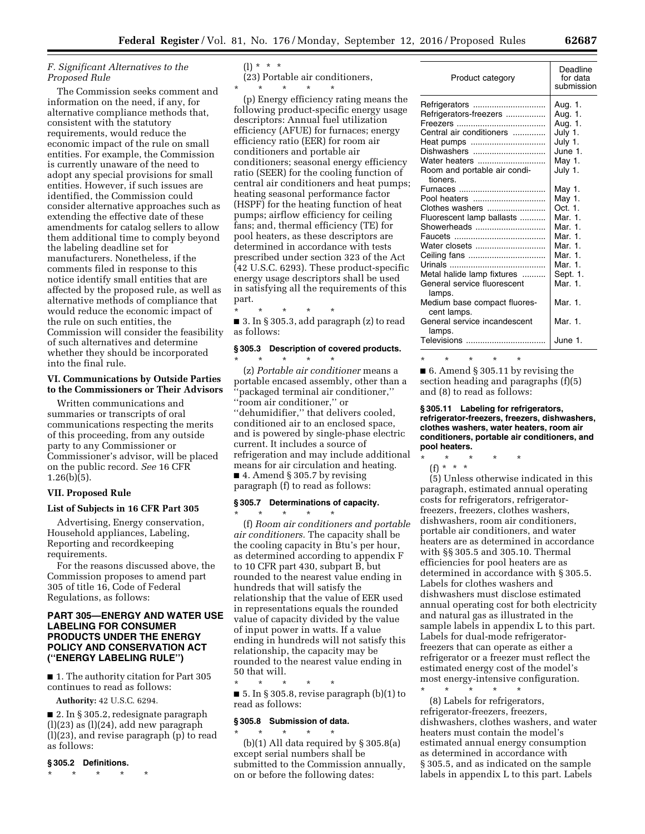# *F. Significant Alternatives to the Proposed Rule*

The Commission seeks comment and information on the need, if any, for alternative compliance methods that, consistent with the statutory requirements, would reduce the economic impact of the rule on small entities. For example, the Commission is currently unaware of the need to adopt any special provisions for small entities. However, if such issues are identified, the Commission could consider alternative approaches such as extending the effective date of these amendments for catalog sellers to allow them additional time to comply beyond the labeling deadline set for manufacturers. Nonetheless, if the comments filed in response to this notice identify small entities that are affected by the proposed rule, as well as alternative methods of compliance that would reduce the economic impact of the rule on such entities, the Commission will consider the feasibility of such alternatives and determine whether they should be incorporated into the final rule.

# **VI. Communications by Outside Parties to the Commissioners or Their Advisors**

Written communications and summaries or transcripts of oral communications respecting the merits of this proceeding, from any outside party to any Commissioner or Commissioner's advisor, will be placed on the public record. *See* 16 CFR  $1.26(b)(5)$ .

### **VII. Proposed Rule**

### **List of Subjects in 16 CFR Part 305**

Advertising, Energy conservation, Household appliances, Labeling, Reporting and recordkeeping requirements.

For the reasons discussed above, the Commission proposes to amend part 305 of title 16, Code of Federal Regulations, as follows:

# **PART 305—ENERGY AND WATER USE LABELING FOR CONSUMER PRODUCTS UNDER THE ENERGY POLICY AND CONSERVATION ACT (''ENERGY LABELING RULE'')**

■ 1. The authority citation for Part 305 continues to read as follows:

**Authority:** 42 U.S.C. 6294.

■ 2. In § 305.2, redesignate paragraph  $(l)(23)$  as  $(l)(24)$ , add new paragraph (l)(23), and revise paragraph (p) to read as follows:

# **§ 305.2 Definitions.**

\* \* \* \* \*

 $(1) * * * *$ 

(23) Portable air conditioners, \* \* \* \* \*

(p) Energy efficiency rating means the following product-specific energy usage descriptors: Annual fuel utilization efficiency (AFUE) for furnaces; energy efficiency ratio (EER) for room air conditioners and portable air conditioners; seasonal energy efficiency ratio (SEER) for the cooling function of central air conditioners and heat pumps; heating seasonal performance factor (HSPF) for the heating function of heat pumps; airflow efficiency for ceiling fans; and, thermal efficiency (TE) for pool heaters, as these descriptors are determined in accordance with tests prescribed under section 323 of the Act (42 U.S.C. 6293). These product-specific energy usage descriptors shall be used in satisfying all the requirements of this part.

\* \* \* \* \*

■ 3. In § 305.3, add paragraph (z) to read as follows:

# **§ 305.3 Description of covered products.**

\* \* \* \* \* (z) *Portable air conditioner* means a portable encased assembly, other than a ''packaged terminal air conditioner,'' ''room air conditioner,'' or ''dehumidifier,'' that delivers cooled, conditioned air to an enclosed space, and is powered by single-phase electric current. It includes a source of refrigeration and may include additional means for air circulation and heating. ■ 4. Amend § 305.7 by revising paragraph (f) to read as follows:

# **§ 305.7 Determinations of capacity.**

\* \* \* \* \*

(f) *Room air conditioners and portable air conditioners.* The capacity shall be the cooling capacity in Btu's per hour, as determined according to appendix F to 10 CFR part 430, subpart B, but rounded to the nearest value ending in hundreds that will satisfy the relationship that the value of EER used in representations equals the rounded value of capacity divided by the value of input power in watts. If a value ending in hundreds will not satisfy this relationship, the capacity may be rounded to the nearest value ending in 50 that will.

\* \* \* \* \* ■ 5. In § 305.8, revise paragraph  $(b)(1)$  to read as follows:

#### **§ 305.8 Submission of data.**  \* \* \* \* \*

(b)(1) All data required by  $\S 305.8(a)$ except serial numbers shall be submitted to the Commission annually, on or before the following dates:

| Product category                                                                                                                                                                    | Deadline<br>for data<br>submission                                                                                   |
|-------------------------------------------------------------------------------------------------------------------------------------------------------------------------------------|----------------------------------------------------------------------------------------------------------------------|
| Refrigerators<br>Refrigerators-freezers<br>Central air conditioners<br>Heat pumps<br>Dishwashers<br>Water heaters<br>Room and portable air condi-<br>tioners.                       | Aug. 1.<br>Aug. 1.<br>Aug. 1.<br>July 1.<br>July 1.<br>June 1.<br>May 1.<br>July 1.                                  |
| Pool heaters<br>Clothes washers<br>Fluorescent lamp ballasts<br>Showerheads<br>Water closets<br>Ceiling fans<br>Metal halide lamp fixtures<br>General service fluorescent<br>lamps. | May 1.<br>May 1.<br>Oct. 1.<br>Mar. 1.<br>Mar. 1.<br>Mar. 1.<br>Mar. 1.<br>Mar. 1.<br>Mar. 1.<br>Sept. 1.<br>Mar. 1. |
| Medium base compact fluores-<br>cent lamps.<br>General service incandescent<br>lamps.<br>Televisions                                                                                | Mar. 1.<br>Mar. 1.<br>June 1.                                                                                        |
|                                                                                                                                                                                     |                                                                                                                      |

\* \* \* \* \* ■ 6. Amend § 305.11 by revising the section heading and paragraphs (f)(5) and (8) to read as follows:

**§ 305.11 Labeling for refrigerators, refrigerator-freezers, freezers, dishwashers, clothes washers, water heaters, room air conditioners, portable air conditioners, and pool heaters.** 

- \* \* \* \* \*
- (f) \* \* \*

(5) Unless otherwise indicated in this paragraph, estimated annual operating costs for refrigerators, refrigeratorfreezers, freezers, clothes washers, dishwashers, room air conditioners, portable air conditioners, and water heaters are as determined in accordance with §§ 305.5 and 305.10. Thermal efficiencies for pool heaters are as determined in accordance with § 305.5. Labels for clothes washers and dishwashers must disclose estimated annual operating cost for both electricity and natural gas as illustrated in the sample labels in appendix L to this part. Labels for dual-mode refrigeratorfreezers that can operate as either a refrigerator or a freezer must reflect the estimated energy cost of the model's most energy-intensive configuration.

\* \* \* \* \*

(8) Labels for refrigerators, refrigerator-freezers, freezers, dishwashers, clothes washers, and water heaters must contain the model's estimated annual energy consumption as determined in accordance with § 305.5, and as indicated on the sample labels in appendix L to this part. Labels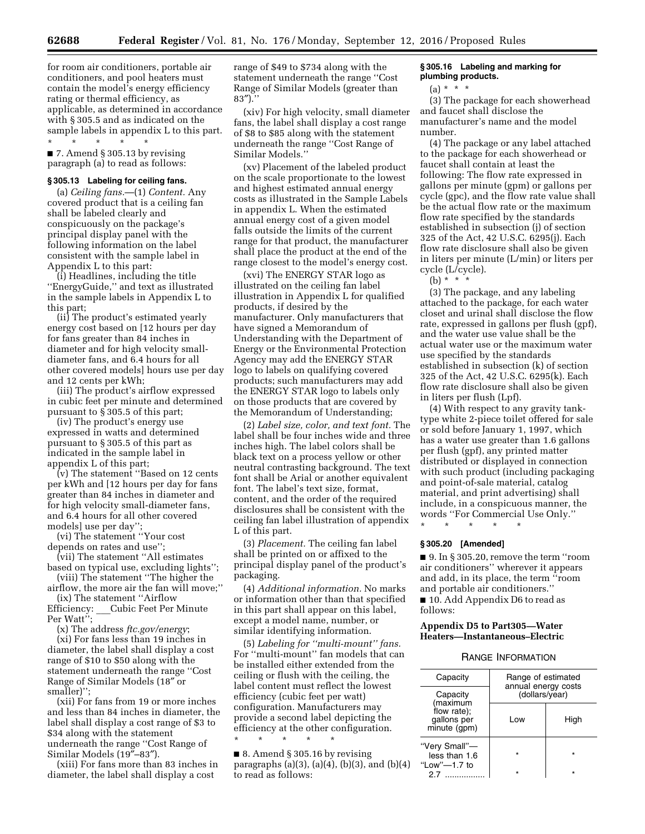for room air conditioners, portable air conditioners, and pool heaters must contain the model's energy efficiency rating or thermal efficiency, as applicable, as determined in accordance with § 305.5 and as indicated on the sample labels in appendix L to this part.

\* \* \* \* \* ■ 7. Amend § 305.13 by revising paragraph (a) to read as follows:

### **§ 305.13 Labeling for ceiling fans.**

(a) *Ceiling fans.*—(1) *Content.* Any covered product that is a ceiling fan shall be labeled clearly and conspicuously on the package's principal display panel with the following information on the label consistent with the sample label in Appendix L to this part:

(i) Headlines, including the title ''EnergyGuide,'' and text as illustrated in the sample labels in Appendix L to this part;

(ii) The product's estimated yearly energy cost based on [12 hours per day for fans greater than 84 inches in diameter and for high velocity smalldiameter fans, and 6.4 hours for all other covered models] hours use per day and 12 cents per kWh;

(iii) The product's airflow expressed in cubic feet per minute and determined pursuant to § 305.5 of this part;

(iv) The product's energy use expressed in watts and determined pursuant to § 305.5 of this part as indicated in the sample label in appendix L of this part;

(v) The statement ''Based on 12 cents per kWh and [12 hours per day for fans greater than 84 inches in diameter and for high velocity small-diameter fans, and 6.4 hours for all other covered models] use per day'';

(vi) The statement ''Your cost depends on rates and use'';

(vii) The statement ''All estimates based on typical use, excluding lights'';

(viii) The statement ''The higher the airflow, the more air the fan will move;''

(ix) The statement "Airflow<br>Efficiency: Cubic Feet Per l Cubic Feet Per Minute

Per Watt'';

(x) The address *ftc.gov/energy*;

(xi) For fans less than 19 inches in diameter, the label shall display a cost range of \$10 to \$50 along with the statement underneath the range ''Cost Range of Similar Models (18″ or smaller)'';

(xii) For fans from 19 or more inches and less than 84 inches in diameter, the label shall display a cost range of \$3 to \$34 along with the statement underneath the range ''Cost Range of Similar Models (19″–83″).

(xiii) For fans more than 83 inches in diameter, the label shall display a cost

range of \$49 to \$734 along with the statement underneath the range ''Cost Range of Similar Models (greater than  $83'$ ).'

(xiv) For high velocity, small diameter fans, the label shall display a cost range of \$8 to \$85 along with the statement underneath the range ''Cost Range of Similar Models.''

(xv) Placement of the labeled product on the scale proportionate to the lowest and highest estimated annual energy costs as illustrated in the Sample Labels in appendix L. When the estimated annual energy cost of a given model falls outside the limits of the current range for that product, the manufacturer shall place the product at the end of the range closest to the model's energy cost.

(xvi) The ENERGY STAR logo as illustrated on the ceiling fan label illustration in Appendix L for qualified products, if desired by the manufacturer. Only manufacturers that have signed a Memorandum of Understanding with the Department of Energy or the Environmental Protection Agency may add the ENERGY STAR logo to labels on qualifying covered products; such manufacturers may add the ENERGY STAR logo to labels only on those products that are covered by the Memorandum of Understanding;

(2) *Label size, color, and text font.* The label shall be four inches wide and three inches high. The label colors shall be black text on a process yellow or other neutral contrasting background. The text font shall be Arial or another equivalent font. The label's text size, format, content, and the order of the required disclosures shall be consistent with the ceiling fan label illustration of appendix L of this part.

(3) *Placement.* The ceiling fan label shall be printed on or affixed to the principal display panel of the product's packaging.

(4) *Additional information.* No marks or information other than that specified in this part shall appear on this label, except a model name, number, or similar identifying information.

(5) *Labeling for ''multi-mount'' fans.*  For ''multi-mount'' fan models that can be installed either extended from the ceiling or flush with the ceiling, the label content must reflect the lowest efficiency (cubic feet per watt) configuration. Manufacturers may provide a second label depicting the efficiency at the other configuration. \* \* \* \* \*

■ 8. Amend § 305.16 by revising paragraphs (a)(3), (a)(4), (b)(3), and (b)(4) to read as follows:

# **§ 305.16 Labeling and marking for plumbing products.**

 $(a) * * * *$ 

(3) The package for each showerhead and faucet shall disclose the manufacturer's name and the model number.

(4) The package or any label attached to the package for each showerhead or faucet shall contain at least the following: The flow rate expressed in gallons per minute (gpm) or gallons per cycle (gpc), and the flow rate value shall be the actual flow rate or the maximum flow rate specified by the standards established in subsection (j) of section 325 of the Act, 42 U.S.C. 6295(j). Each flow rate disclosure shall also be given in liters per minute (L/min) or liters per cycle (L/cycle).

(b) \* \* \*

(3) The package, and any labeling attached to the package, for each water closet and urinal shall disclose the flow rate, expressed in gallons per flush (gpf), and the water use value shall be the actual water use or the maximum water use specified by the standards established in subsection (k) of section 325 of the Act, 42 U.S.C. 6295(k). Each flow rate disclosure shall also be given in liters per flush (Lpf).

(4) With respect to any gravity tanktype white 2-piece toilet offered for sale or sold before January 1, 1997, which has a water use greater than 1.6 gallons per flush (gpf), any printed matter distributed or displayed in connection with such product (including packaging and point-of-sale material, catalog material, and print advertising) shall include, in a conspicuous manner, the words ''For Commercial Use Only.''

\* \* \* \* \*

# **§ 305.20 [Amended]**

■ 9. In § 305.20, remove the term "room air conditioners'' wherever it appears and add, in its place, the term ''room and portable air conditioners.'' ■ 10. Add Appendix D6 to read as

follows:

# **Appendix D5 to Part305—Water Heaters—Instantaneous–Electric**

# RANGE INFORMATION

| Capacity                                                           | Range of estimated<br>annual energy costs<br>(dollars/year) |         |
|--------------------------------------------------------------------|-------------------------------------------------------------|---------|
| Capacity<br>(maximum<br>flow rate);<br>gallons per<br>minute (gpm) |                                                             |         |
|                                                                    | l ow                                                        | High    |
| "Very Small"-<br>less than 1.6<br>"Low"—1.7 to                     | $\star$                                                     | $\star$ |
| 27<br>.                                                            |                                                             |         |